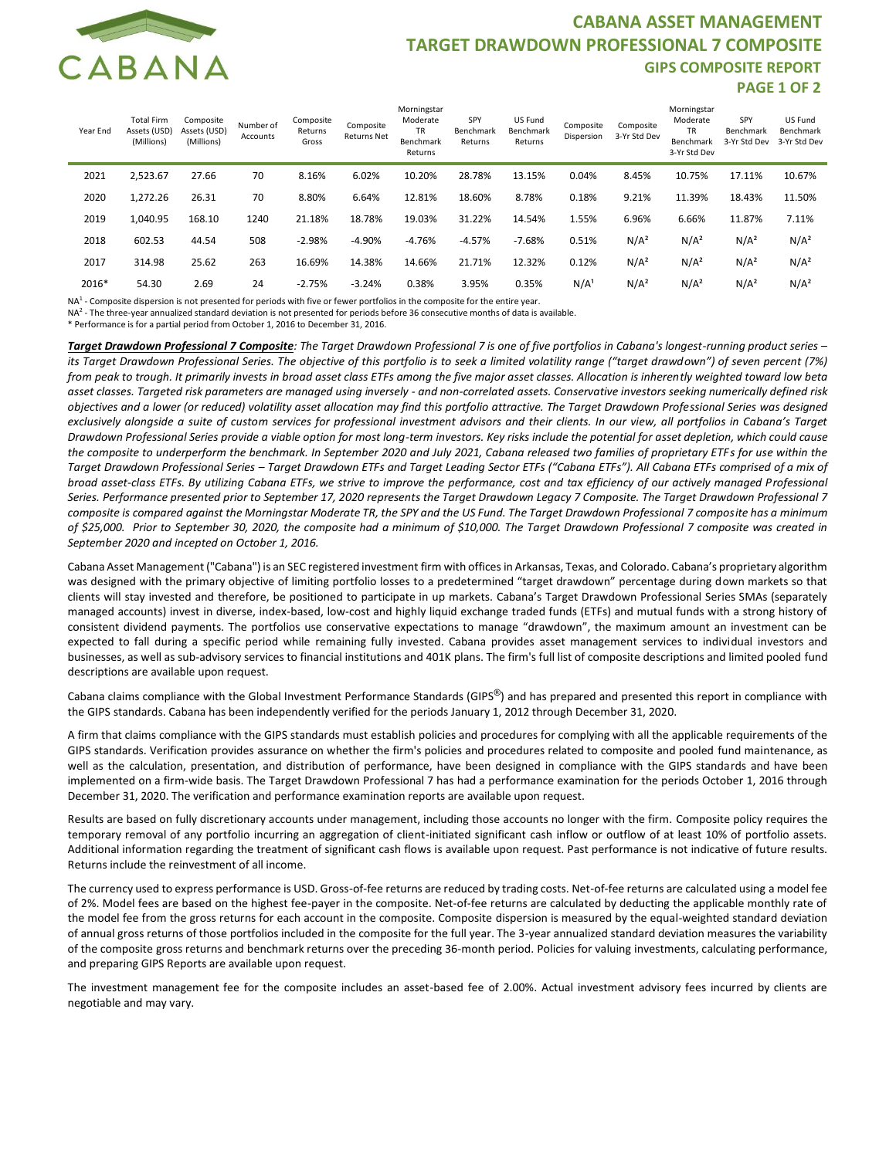

## **CABANA ASSET MANAGEMENT TARGET DRAWDOWN PROFESSIONAL 7 COMPOSITE GIPS COMPOSITE REPORT PAGE 1 OF 2**

| Year End | <b>Total Firm</b><br>Assets (USD)<br>(Millions) | Composite<br>Assets (USD)<br>(Millions) | Number of<br>Accounts | Composite<br>Returns<br>Gross | Composite<br><b>Returns Net</b> | Morningstar<br>Moderate<br><b>TR</b><br>Benchmark<br>Returns | SPY<br>Benchmark<br>Returns | US Fund<br>Benchmark<br>Returns | Composite<br>Dispersion | Composite<br>3-Yr Std Dev | Morningstar<br>Moderate<br>TR<br>Benchmark<br>3-Yr Std Dev | SPY<br>Benchmark<br>3-Yr Std Dev | US Fund<br>Benchmark<br>3-Yr Std Dev |
|----------|-------------------------------------------------|-----------------------------------------|-----------------------|-------------------------------|---------------------------------|--------------------------------------------------------------|-----------------------------|---------------------------------|-------------------------|---------------------------|------------------------------------------------------------|----------------------------------|--------------------------------------|
| 2021     | 2,523.67                                        | 27.66                                   | 70                    | 8.16%                         | 6.02%                           | 10.20%                                                       | 28.78%                      | 13.15%                          | 0.04%                   | 8.45%                     | 10.75%                                                     | 17.11%                           | 10.67%                               |
| 2020     | 1,272.26                                        | 26.31                                   | 70                    | 8.80%                         | 6.64%                           | 12.81%                                                       | 18.60%                      | 8.78%                           | 0.18%                   | 9.21%                     | 11.39%                                                     | 18.43%                           | 11.50%                               |
| 2019     | 1,040.95                                        | 168.10                                  | 1240                  | 21.18%                        | 18.78%                          | 19.03%                                                       | 31.22%                      | 14.54%                          | 1.55%                   | 6.96%                     | 6.66%                                                      | 11.87%                           | 7.11%                                |
| 2018     | 602.53                                          | 44.54                                   | 508                   | $-2.98%$                      | $-4.90%$                        | $-4.76%$                                                     | $-4.57%$                    | $-7.68%$                        | 0.51%                   | N/A <sup>2</sup>          | N/A <sup>2</sup>                                           | N/A <sup>2</sup>                 | N/A <sup>2</sup>                     |
| 2017     | 314.98                                          | 25.62                                   | 263                   | 16.69%                        | 14.38%                          | 14.66%                                                       | 21.71%                      | 12.32%                          | 0.12%                   | N/A <sup>2</sup>          | N/A <sup>2</sup>                                           | N/A <sup>2</sup>                 | N/A <sup>2</sup>                     |
| 2016*    | 54.30                                           | 2.69                                    | 24                    | $-2.75%$                      | $-3.24%$                        | 0.38%                                                        | 3.95%                       | 0.35%                           | N/A <sup>1</sup>        | N/A <sup>2</sup>          | N/A <sup>2</sup>                                           | N/A <sup>2</sup>                 | N/A <sup>2</sup>                     |

NA<sup>1</sup> - Composite dispersion is not presented for periods with five or fewer portfolios in the composite for the entire year.

NA2 - The three-year annualized standard deviation is not presented for periods before 36 consecutive months of data is available.

\* Performance is for a partial period from October 1, 2016 to December 31, 2016.

*Target Drawdown Professional 7 Composite: The Target Drawdown Professional 7 is one of five portfolios in Cabana's longest-running product series – its Target Drawdown Professional Series. The objective of this portfolio is to seek a limited volatility range ("target drawdown") of seven percent (7%) from peak to trough. It primarily invests in broad asset class ETFs among the five major asset classes. Allocation is inherently weighted toward low beta asset classes. Targeted risk parameters are managed using inversely - and non-correlated assets. Conservative investors seeking numerically defined risk objectives and a lower (or reduced) volatility asset allocation may find this portfolio attractive. The Target Drawdown Professional Series was designed exclusively alongside a suite of custom services for professional investment advisors and their clients. In our view, all portfolios in Cabana's Target Drawdown Professional Series provide a viable option for most long-term investors. Key risks include the potential for asset depletion, which could cause the composite to underperform the benchmark. In September 2020 and July 2021, Cabana released two families of proprietary ETFs for use within the Target Drawdown Professional Series – Target Drawdown ETFs and Target Leading Sector ETFs ("Cabana ETFs"). All Cabana ETFs comprised of a mix of broad asset-class ETFs. By utilizing Cabana ETFs, we strive to improve the performance, cost and tax efficiency of our actively managed Professional Series. Performance presented prior to September 17, 2020 represents the Target Drawdown Legacy 7 Composite. The Target Drawdown Professional 7 composite is compared against the Morningstar Moderate TR, the SPY and the US Fund. The Target Drawdown Professional 7 composite has a minimum of \$25,000. Prior to September 30, 2020, the composite had a minimum of \$10,000. The Target Drawdown Professional 7 composite was created in September 2020 and incepted on October 1, 2016.*

Cabana Asset Management ("Cabana") is an SEC registered investment firm with offices in Arkansas, Texas, and Colorado. Cabana's proprietary algorithm was designed with the primary objective of limiting portfolio losses to a predetermined "target drawdown" percentage during down markets so that clients will stay invested and therefore, be positioned to participate in up markets. Cabana's Target Drawdown Professional Series SMAs (separately managed accounts) invest in diverse, index-based, low-cost and highly liquid exchange traded funds (ETFs) and mutual funds with a strong history of consistent dividend payments. The portfolios use conservative expectations to manage "drawdown", the maximum amount an investment can be expected to fall during a specific period while remaining fully invested. Cabana provides asset management services to individual investors and businesses, as well as sub-advisory services to financial institutions and 401K plans. The firm's full list of composite descriptions and limited pooled fund descriptions are available upon request.

Cabana claims compliance with the Global Investment Performance Standards (GIPS®) and has prepared and presented this report in compliance with the GIPS standards. Cabana has been independently verified for the periods January 1, 2012 through December 31, 2020.

A firm that claims compliance with the GIPS standards must establish policies and procedures for complying with all the applicable requirements of the GIPS standards. Verification provides assurance on whether the firm's policies and procedures related to composite and pooled fund maintenance, as well as the calculation, presentation, and distribution of performance, have been designed in compliance with the GIPS standards and have been implemented on a firm-wide basis. The Target Drawdown Professional 7 has had a performance examination for the periods October 1, 2016 through December 31, 2020. The verification and performance examination reports are available upon request.

Results are based on fully discretionary accounts under management, including those accounts no longer with the firm. Composite policy requires the temporary removal of any portfolio incurring an aggregation of client-initiated significant cash inflow or outflow of at least 10% of portfolio assets. Additional information regarding the treatment of significant cash flows is available upon request. Past performance is not indicative of future results. Returns include the reinvestment of all income.

The currency used to express performance is USD. Gross-of-fee returns are reduced by trading costs. Net-of-fee returns are calculated using a model fee of 2%. Model fees are based on the highest fee-payer in the composite. Net-of-fee returns are calculated by deducting the applicable monthly rate of the model fee from the gross returns for each account in the composite. Composite dispersion is measured by the equal-weighted standard deviation of annual gross returns of those portfolios included in the composite for the full year. The 3-year annualized standard deviation measures the variability of the composite gross returns and benchmark returns over the preceding 36-month period. Policies for valuing investments, calculating performance, and preparing GIPS Reports are available upon request.

The investment management fee for the composite includes an asset-based fee of 2.00%. Actual investment advisory fees incurred by clients are negotiable and may vary.